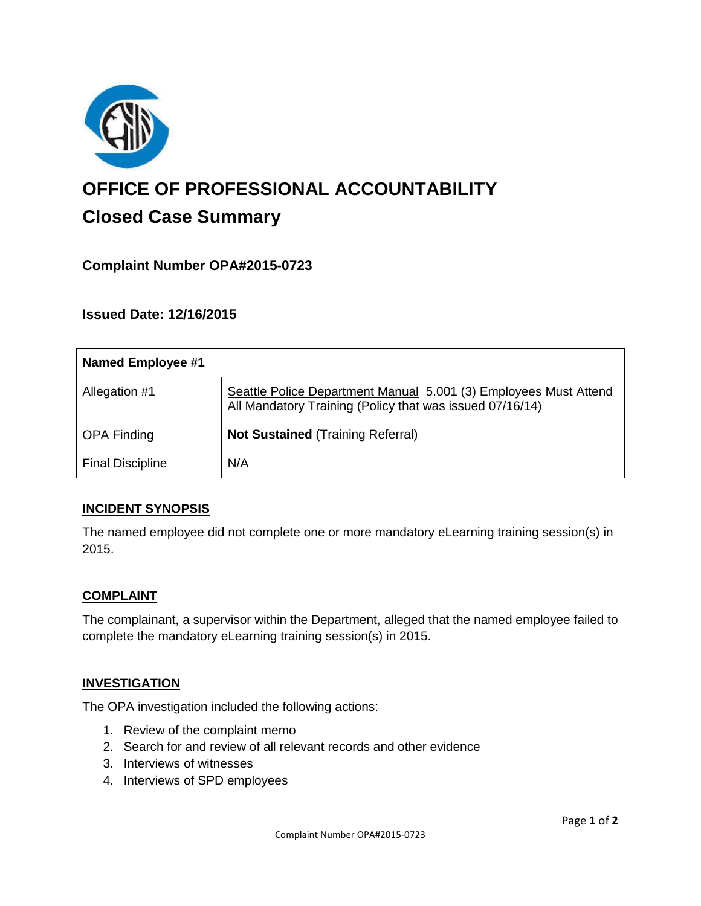

# **OFFICE OF PROFESSIONAL ACCOUNTABILITY Closed Case Summary**

# **Complaint Number OPA#2015-0723**

**Issued Date: 12/16/2015**

| Named Employee #1       |                                                                                                                              |
|-------------------------|------------------------------------------------------------------------------------------------------------------------------|
| Allegation #1           | Seattle Police Department Manual 5.001 (3) Employees Must Attend<br>All Mandatory Training (Policy that was issued 07/16/14) |
| <b>OPA Finding</b>      | <b>Not Sustained (Training Referral)</b>                                                                                     |
| <b>Final Discipline</b> | N/A                                                                                                                          |

#### **INCIDENT SYNOPSIS**

The named employee did not complete one or more mandatory eLearning training session(s) in 2015.

#### **COMPLAINT**

The complainant, a supervisor within the Department, alleged that the named employee failed to complete the mandatory eLearning training session(s) in 2015.

#### **INVESTIGATION**

The OPA investigation included the following actions:

- 1. Review of the complaint memo
- 2. Search for and review of all relevant records and other evidence
- 3. Interviews of witnesses
- 4. Interviews of SPD employees